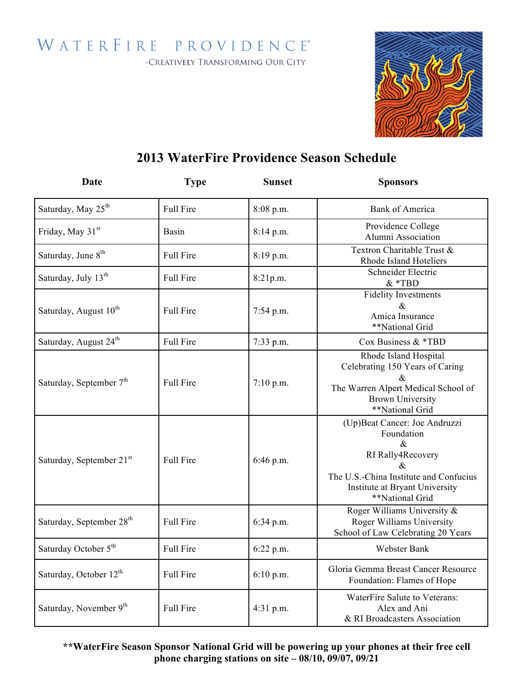WATERFIRE PROVIDENCE®

-CREATIVELY TRANSFORMING OUR CITY



## **2013 WaterFire Providence Season Schedule**

| Date                                 | <b>Type</b>      | <b>Sunset</b> | <b>Sponsors</b>                                                                                                                                                              |
|--------------------------------------|------------------|---------------|------------------------------------------------------------------------------------------------------------------------------------------------------------------------------|
| Saturday, May 25 <sup>th</sup>       | Full Fire        | 8:08 p.m.     | <b>Bank of America</b>                                                                                                                                                       |
| Friday, May 31 <sup>st</sup>         | <b>Basin</b>     | $8:14$ p.m.   | Providence College<br>Alumni Association                                                                                                                                     |
| Saturday, June 8 <sup>th</sup>       | <b>Full Fire</b> | 8:19 p.m.     | Textron Charitable Trust &<br>Rhode Island Hoteliers                                                                                                                         |
| Saturday, July 13 <sup>th</sup>      | <b>Full Fire</b> | 8:21p.m.      | Schneider Electric<br>$&$ *TBD                                                                                                                                               |
| Saturday, August 10 <sup>th</sup>    | <b>Full Fire</b> | 7:54 p.m.     | <b>Fidelity Investments</b><br>&.<br>Amica Insurance<br>**National Grid                                                                                                      |
| Saturday, August 24 <sup>th</sup>    | <b>Full Fire</b> | 7:33 p.m.     | Cox Business $&$ *TBD                                                                                                                                                        |
| Saturday, September 7 <sup>th</sup>  | <b>Full Fire</b> | $7:10$ p.m.   | Rhode Island Hospital<br>Celebrating 150 Years of Caring<br>&.<br>The Warren Alpert Medical School of<br><b>Brown University</b><br>**National Grid                          |
| Saturday, September 21 <sup>st</sup> | <b>Full Fire</b> | $6:46$ p.m.   | (Up)Beat Cancer: Joe Andruzzi<br>Foundation<br>$\&$<br>RI Rally4Recovery<br>&<br>The U.S.-China Institute and Confucius<br>Institute at Bryant University<br>**National Grid |
| Saturday, September 28 <sup>th</sup> | <b>Full Fire</b> | 6:34 p.m.     | Roger Williams University &<br>Roger Williams University<br>School of Law Celebrating 20 Years                                                                               |
| Saturday October 5 <sup>th</sup>     | <b>Full Fire</b> | 6:22 p.m.     | Webster Bank                                                                                                                                                                 |
| Saturday, October 12 <sup>th</sup>   | <b>Full Fire</b> | $6:10$ p.m.   | Gloria Gemma Breast Cancer Resource<br>Foundation: Flames of Hope                                                                                                            |
| Saturday, November 9th               | <b>Full Fire</b> | $4:31$ p.m.   | WaterFire Salute to Veterans:<br>Alex and Ani<br>& RI Broadcasters Association                                                                                               |